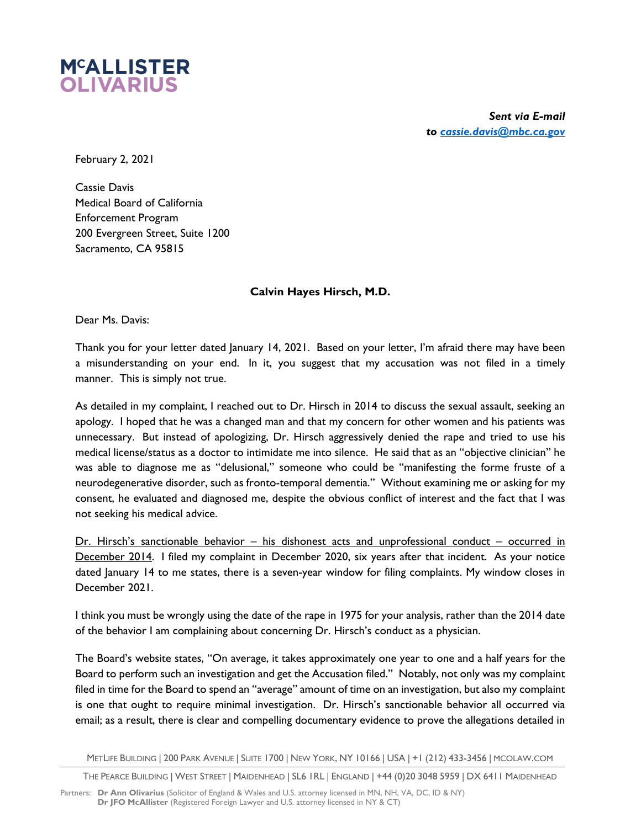

*Sent via E-mail to cassie.davis@mbc.ca.gov*

February 2, 2021

Cassie Davis Medical Board of California Enforcement Program 200 Evergreen Street, Suite 1200 Sacramento, CA 95815

## **Calvin Hayes Hirsch, M.D.**

Dear Ms. Davis:

Thank you for your letter dated January 14, 2021. Based on your letter, I'm afraid there may have been a misunderstanding on your end. In it, you suggest that my accusation was not filed in a timely manner. This is simply not true.

As detailed in my complaint, I reached out to Dr. Hirsch in 2014 to discuss the sexual assault, seeking an apology. I hoped that he was a changed man and that my concern for other women and his patients was unnecessary. But instead of apologizing, Dr. Hirsch aggressively denied the rape and tried to use his medical license/status as a doctor to intimidate me into silence. He said that as an "objective clinician" he was able to diagnose me as "delusional," someone who could be "manifesting the forme fruste of a neurodegenerative disorder, such as fronto-temporal dementia." Without examining me or asking for my consent, he evaluated and diagnosed me, despite the obvious conflict of interest and the fact that I was not seeking his medical advice.

Dr. Hirsch's sanctionable behavior – his dishonest acts and unprofessional conduct – occurred in December 2014. I filed my complaint in December 2020, six years after that incident. As your notice dated January 14 to me states, there is a seven-year window for filing complaints. My window closes in December 2021.

I think you must be wrongly using the date of the rape in 1975 for your analysis, rather than the 2014 date of the behavior I am complaining about concerning Dr. Hirsch's conduct as a physician.

The Board's website states, "On average, it takes approximately one year to one and a half years for the Board to perform such an investigation and get the Accusation filed." Notably, not only was my complaint filed in time for the Board to spend an "average" amount of time on an investigation, but also my complaint is one that ought to require minimal investigation. Dr. Hirsch's sanctionable behavior all occurred via email; as a result, there is clear and compelling documentary evidence to prove the allegations detailed in

METLIFE BUILDING | 200 PARK AVENUE | SUITE 1700 | NEW YORK, NY 10166 | USA | +1 (212) 433-3456 | MCOLAW.COM

THE PEARCE BUILDING | WEST STREET | MAIDENHEAD | SL6 1RL | ENGLAND | +44 (0)20 3048 5959 | DX 6411 MAIDENHEAD